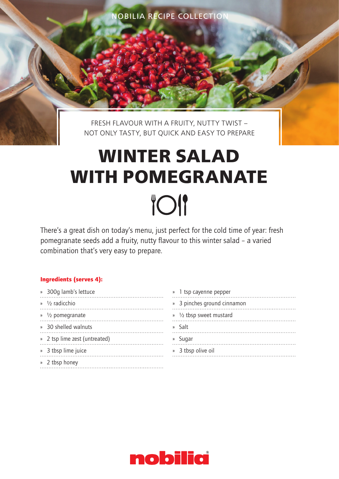NOBILIA RECIPE COLLECTION

FRESH FLAVOUR WITH A FRUITY, NUTTY TWIST – NOT ONLY TASTY, BUT QUICK AND EASY TO PREPARE

# **WINTER SALAD WITH POMEGRANATE TOI**

There's a great dish on today's menu, just perfect for the cold time of year: fresh pomegranate seeds add a fruity, nutty flavour to this winter salad – a varied combination that's very easy to prepare.

# Ingredients (serves 4):

| » 300g lamb's lettuce         |
|-------------------------------|
| $\frac{1}{2}$ radicchio       |
| $\frac{1}{2}$ pomegranate     |
| » 30 shelled walnuts          |
| » 2 tsp lime zest (untreated) |
| » 3 tbsp lime juice           |
| » 2 tbsp honey                |

| » 1 tsp cayenne pepper      |
|-----------------------------|
| » 3 pinches ground cinnamon |
| » 1/2 tbsp sweet mustard    |
| » Salt                      |
| » Sugar                     |
| » 3 tbsp olive oil          |
|                             |